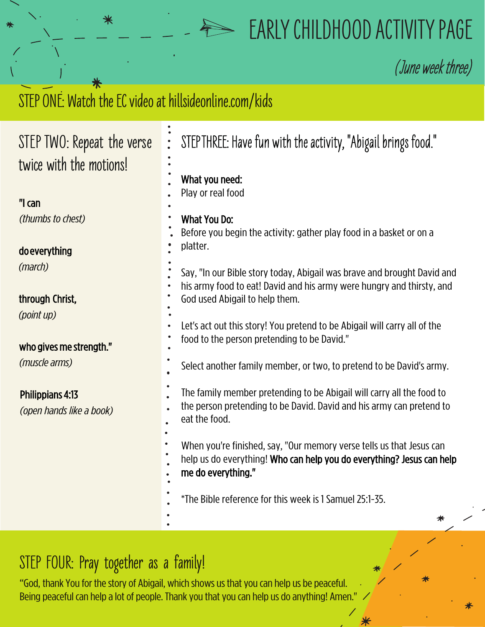## **EARLY CHILDHOOD ACTIVITY PAGE**

**(**June week three)

## STEP ONE: Watch the EC video at hillsideonline.com/kids

⋇

| STEP TWO: Repeat the verse                          | STEPTHREE: Have fun with the activity, "Abigail brings food."<br>$\ddot{\bullet}$                                                                                   |
|-----------------------------------------------------|---------------------------------------------------------------------------------------------------------------------------------------------------------------------|
| twice with the motions!                             |                                                                                                                                                                     |
|                                                     | What you need:<br>Play or real food                                                                                                                                 |
| "I can                                              |                                                                                                                                                                     |
| (thumbs to chest)                                   | What You Do:<br>Before you begin the activity: gather play food in a basket or on a                                                                                 |
| do everything                                       | platter.                                                                                                                                                            |
| (march)                                             | Say, "In our Bible story today, Abigail was brave and brought David and                                                                                             |
| through Christ,                                     | his army food to eat! David and his army were hungry and thirsty, and<br>God used Abigail to help them.                                                             |
| (point up)                                          | Let's act out this story! You pretend to be Abigail will carry all of the                                                                                           |
| who gives me strength."                             | food to the person pretending to be David."                                                                                                                         |
| (muscle arms)                                       | Select another family member, or two, to pretend to be David's army.                                                                                                |
| <b>Philippians 4:13</b><br>(open hands like a book) | The family member pretending to be Abigail will carry all the food to<br>the person pretending to be David. David and his army can pretend to<br>eat the food.      |
|                                                     | When you're finished, say, "Our memory verse tells us that Jesus can<br>help us do everything! Who can help you do everything? Jesus can help<br>me do everything." |
|                                                     | *The Bible reference for this week is 1 Samuel 25:1-35.                                                                                                             |
|                                                     | ⋇                                                                                                                                                                   |

## **STEP FOUR: Pray together as a family!**

"God, thank You for the story of Abigail, which shows us that you can help us be peaceful. Being peaceful can help a lot of people. Thank you that you can help us do anything! Amen."